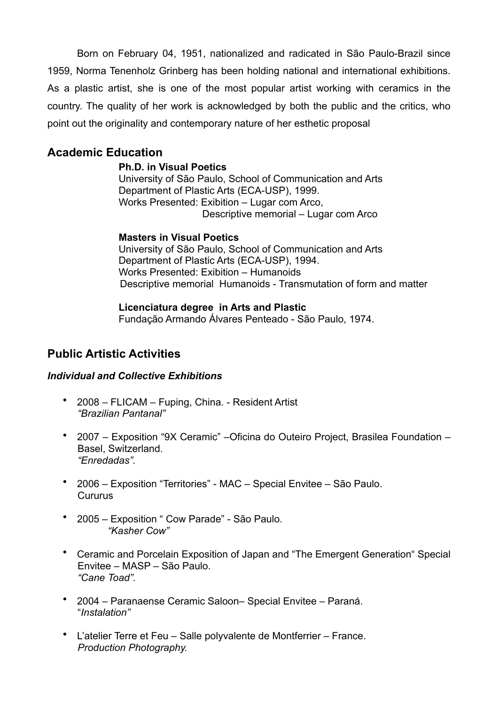Born on February 04, 1951, nationalized and radicated in São Paulo-Brazil since 1959, Norma Tenenholz Grinberg has been holding national and international exhibitions. As a plastic artist, she is one of the most popular artist working with ceramics in the country. The quality of her work is acknowledged by both the public and the critics, who point out the originality and contemporary nature of her esthetic proposal

# **Academic Education**

#### **Ph.D. in Visual Poetics**

University of São Paulo, School of Communication and Arts Department of Plastic Arts (ECA-USP), 1999. Works Presented: Exibition – Lugar com Arco, Descriptive memorial – Lugar com Arco

#### **Masters in Visual Poetics**

University of São Paulo, School of Communication and Arts Department of Plastic Arts (ECA-USP), 1994. Works Presented: Exibition – Humanoids Descriptive memorial Humanoids - Transmutation of form and matter

**Licenciatura degree in Arts and Plastic** Fundação Armando Álvares Penteado - São Paulo, 1974.

# **Public Artistic Activities**

#### *Individual and Collective Exhibitions*

- 2008 FLICAM Fuping, China. Resident Artist *"Brazilian Pantanal"*
- 2007 Exposition "9X Ceramic" –Oficina do Outeiro Project, Brasilea Foundation Basel, Switzerland. *"Enredadas".*
- 2006 Exposition "Territories" MAC Special Envitee São Paulo. Cururus
- 2005 Exposition " Cow Parade" São Paulo. *"Kasher Cow"*
- Ceramic and Porcelain Exposition of Japan and "The Emergent Generation" Special Envitee – MASP – São Paulo. *"Cane Toad".*
- 2004 Paranaense Ceramic Saloon– Special Envitee Paraná. "*Instalation"*
- L'atelier Terre et Feu Salle polyvalente de Montferrier France. *Production Photography.*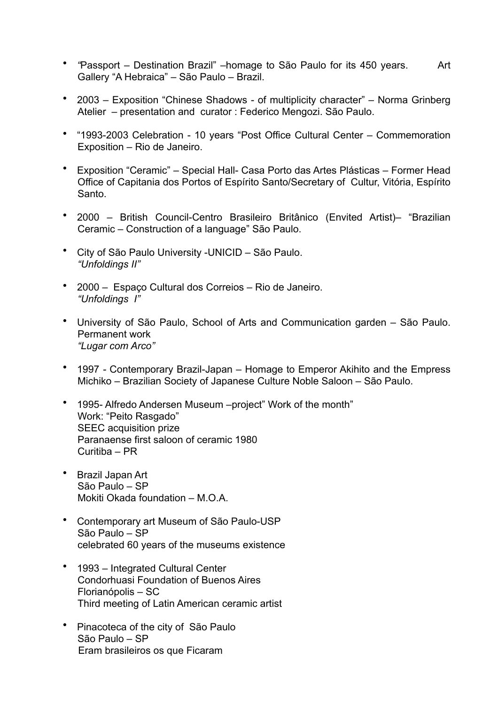- *"*Passport Destination Brazil" –homage to São Paulo for its 450 years. Art Gallery "A Hebraica" – São Paulo – Brazil.
- 2003 Exposition "Chinese Shadows of multiplicity character" Norma Grinberg Atelier – presentation and curator : Federico Mengozi. São Paulo.
- "1993-2003 Celebration 10 years "Post Office Cultural Center Commemoration Exposition – Rio de Janeiro.
- Exposition "Ceramic" Special Hall- Casa Porto das Artes Plásticas Former Head Office of Capitania dos Portos of Espírito Santo/Secretary of Cultur, Vitória, Espírito Santo.
- 2000 British Council-Centro Brasileiro Britânico (Envited Artist)– "Brazilian Ceramic – Construction of a language" São Paulo.
- City of São Paulo University -UNICID São Paulo. *"Unfoldings II"*
- 2000 Espaço Cultural dos Correios Rio de Janeiro. *"Unfoldings I"*
- University of São Paulo, School of Arts and Communication garden São Paulo. Permanent work *"Lugar com Arco"*
- 1997Contemporary Brazil-Japan Homage to Emperor Akihito and the Empress Michiko – Brazilian Society of Japanese Culture Noble Saloon – São Paulo.
- 1995- Alfredo Andersen Museum –project" Work of the month" Work: "Peito Rasgado" SEEC acquisition prize Paranaense first saloon of ceramic 1980 Curitiba – PR
- Brazil Japan Art São Paulo – SP Mokiti Okada foundation – M.O.A.
- Contemporary art Museum of São Paulo-USP São Paulo – SP celebrated 60 years of the museums existence
- 1993 Integrated Cultural Center Condorhuasi Foundation of Buenos Aires Florianópolis – SC Third meeting of Latin American ceramic artist
- Pinacoteca of the city of São Paulo São Paulo – SP Eram brasileiros os que Ficaram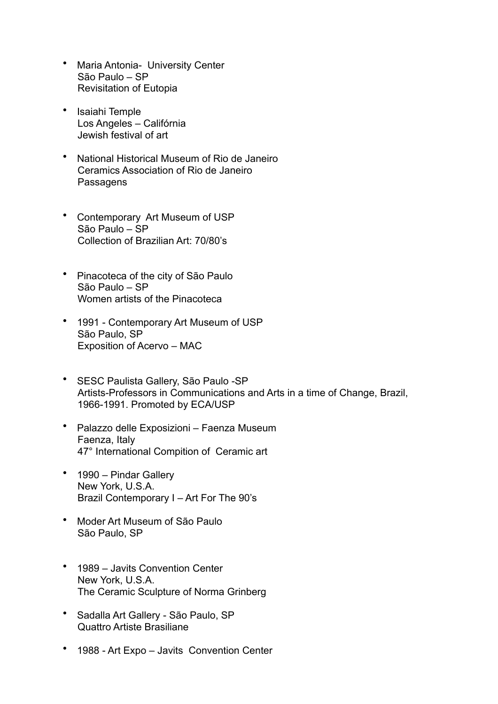- Maria Antonia- University Center São Paulo – SP Revisitation of Eutopia
- Isaiahi Temple Los Angeles – Califórnia Jewish festival of art
- National Historical Museum of Rio de Janeiro Ceramics Association of Rio de Janeiro **Passagens**
- Contemporary Art Museum of USP São Paulo – SP Collection of Brazilian Art: 70/80's
- Pinacoteca of the city of São Paulo São Paulo – SP Women artists of the Pinacoteca
- 1991 Contemporary Art Museum of USP São Paulo, SP Exposition of Acervo – MAC
- SESC Paulista Gallery, São Paulo -SP Artists-Professors in Communications and Arts in a time of Change, Brazil, 1966-1991. Promoted by ECA/USP
- Palazzo delle Exposizioni Faenza Museum Faenza, Italy 47° International Compition of Ceramic art
- 1990 Pindar Gallery New York, U.S.A. Brazil Contemporary I – Art For The 90's
- Moder Art Museum of São Paulo São Paulo, SP
- 1989 Javits Convention Center New York, U.S.A. The Ceramic Sculpture of Norma Grinberg
- Sadalla Art Gallery São Paulo, SP Quattro Artiste Brasiliane
- 1988 Art Expo Javits Convention Center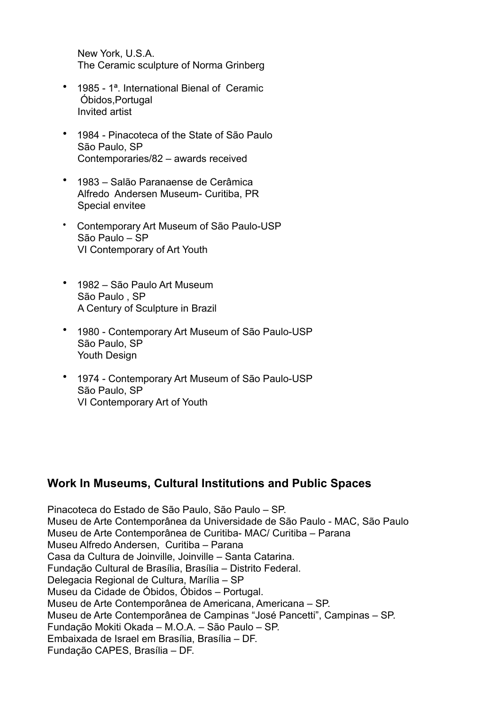New York, U.S.A. The Ceramic sculpture of Norma Grinberg

- 1985 1<sup>a</sup>. International Bienal of Ceramic Óbidos,Portugal Invited artist
- 1984 Pinacoteca of the State of São Paulo São Paulo, SP Contemporaries/82 – awards received
- 1983 Salão Paranaense de Cerâmica Alfredo Andersen Museum- Curitiba, PR Special envitee
- Contemporary Art Museum of São Paulo-USP São Paulo – SP VI Contemporary of Art Youth
- 1982 São Paulo Art Museum São Paulo , SP A Century of Sculpture in Brazil
- 1980 Contemporary Art Museum of São Paulo-USP São Paulo, SP Youth Design
- 1974 Contemporary Art Museum of São Paulo-USP São Paulo, SP VI Contemporary Art of Youth

### **Work In Museums, Cultural Institutions and Public Spaces**

Pinacoteca do Estado de São Paulo, São Paulo – SP. Museu de Arte Contemporânea da Universidade de São Paulo - MAC, São Paulo Museu de Arte Contemporânea de Curitiba- MAC/ Curitiba – Parana Museu Alfredo Andersen, Curitiba – Parana Casa da Cultura de Joinville, Joinville – Santa Catarina. Fundação Cultural de Brasília, Brasília – Distrito Federal. Delegacia Regional de Cultura, Marília – SP Museu da Cidade de Óbidos, Óbidos – Portugal. Museu de Arte Contemporânea de Americana, Americana – SP. Museu de Arte Contemporânea de Campinas "José Pancetti", Campinas – SP. Fundação Mokiti Okada – M.O.A. – São Paulo – SP. Embaixada de Israel em Brasília, Brasília – DF. Fundação CAPES, Brasília – DF.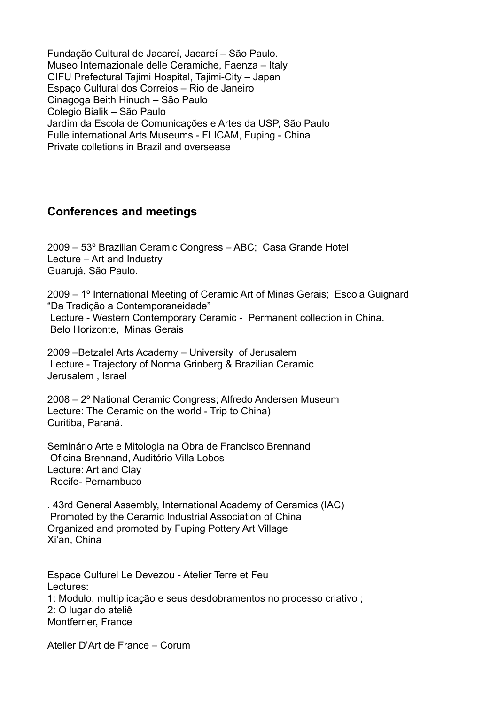Fundação Cultural de Jacareí, Jacareí – São Paulo. Museo Internazionale delle Ceramiche, Faenza – Italy GIFU Prefectural Tajimi Hospital, Tajimi-City – Japan Espaço Cultural dos Correios – Rio de Janeiro Cinagoga Beith Hinuch – São Paulo Colegio Bialik – São Paulo Jardim da Escola de Comunicações e Artes da USP, São Paulo Fulle international Arts Museums - FLICAM, Fuping - China Private colletions in Brazil and oversease

# **Conferences and meetings**

2009 – 53º Brazilian Ceramic Congress – ABC; Casa Grande Hotel Lecture – Art and Industry Guarujá, São Paulo.

2009 – 1º International Meeting of Ceramic Art of Minas Gerais; Escola Guignard "Da Tradição a Contemporaneidade" Lecture - Western Contemporary Ceramic - Permanent collection in China. Belo Horizonte, Minas Gerais

2009 –Betzalel Arts Academy – University of Jerusalem Lecture - Trajectory of Norma Grinberg & Brazilian Ceramic Jerusalem , Israel

2008 – 2º National Ceramic Congress; Alfredo Andersen Museum Lecture: The Ceramic on the world - Trip to China) Curitiba, Paraná.

Seminário Arte e Mitologia na Obra de Francisco Brennand Oficina Brennand, Auditório Villa Lobos Lecture: Art and Clay Recife- Pernambuco

. 43rd General Assembly, International Academy of Ceramics (IAC) Promoted by the Ceramic Industrial Association of China Organized and promoted by Fuping Pottery Art Village Xi'an, China

Espace Culturel Le Devezou - Atelier Terre et Feu Lectures: 1: Modulo, multiplicação e seus desdobramentos no processo criativo ; 2: O lugar do ateliê Montferrier, France

Atelier D'Art de France – Corum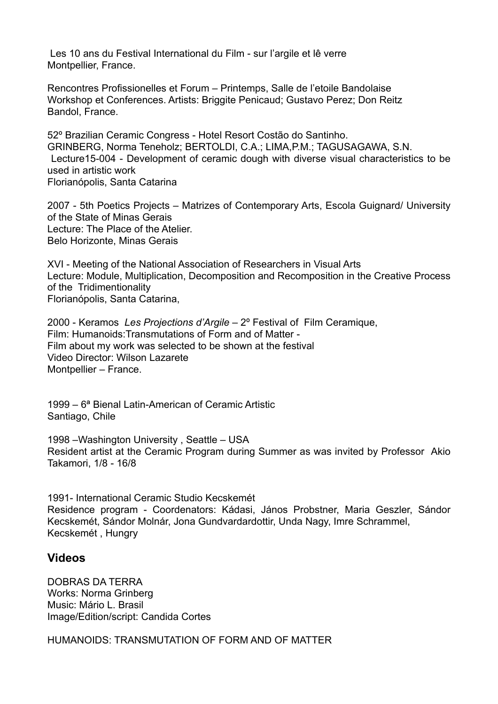Les 10 ans du Festival International du Film - sur l'argile et lê verre Montpellier, France.

Rencontres Profissionelles et Forum – Printemps, Salle de l'etoile Bandolaise Workshop et Conferences. Artists: Briggite Penicaud; Gustavo Perez; Don Reitz Bandol, France.

52º Brazilian Ceramic Congress - Hotel Resort Costão do Santinho. GRINBERG, Norma Teneholz; BERTOLDI, C.A.; LIMA,P.M.; TAGUSAGAWA, S.N. Lecture15-004 - Development of ceramic dough with diverse visual characteristics to be used in artistic work Florianópolis, Santa Catarina

2007 - 5th Poetics Projects – Matrizes of Contemporary Arts, Escola Guignard/ University of the State of Minas Gerais Lecture: The Place of the Atelier. Belo Horizonte, Minas Gerais

XVI - Meeting of the National Association of Researchers in Visual Arts Lecture: Module, Multiplication, Decomposition and Recomposition in the Creative Process of the Tridimentionality Florianópolis, Santa Catarina,

2000 - Keramos *Les Projections d'Argile* – 2º Festival of Film Ceramique, Film: Humanoids:Transmutations of Form and of Matter - Film about my work was selected to be shown at the festival Video Director: Wilson Lazarete Montpellier – France.

1999 – 6ª Bienal Latin-American of Ceramic Artistic Santiago, Chile

1998 –Washington University , Seattle – USA Resident artist at the Ceramic Program during Summer as was invited by Professor Akio Takamori, 1/8 - 16/8

1991- International Ceramic Studio Kecskemét Residence program - Coordenators: Kádasi, János Probstner, Maria Geszler, Sándor Kecskemét, Sándor Molnár, Jona Gundvardardottir, Unda Nagy, Imre Schrammel, Kecskemét , Hungry

#### **Videos**

DOBRAS DA TERRA Works: Norma Grinberg Music: Mário L. Brasil Image/Edition/script: Candida Cortes

HUMANOIDS: TRANSMUTATION OF FORM AND OF MATTER